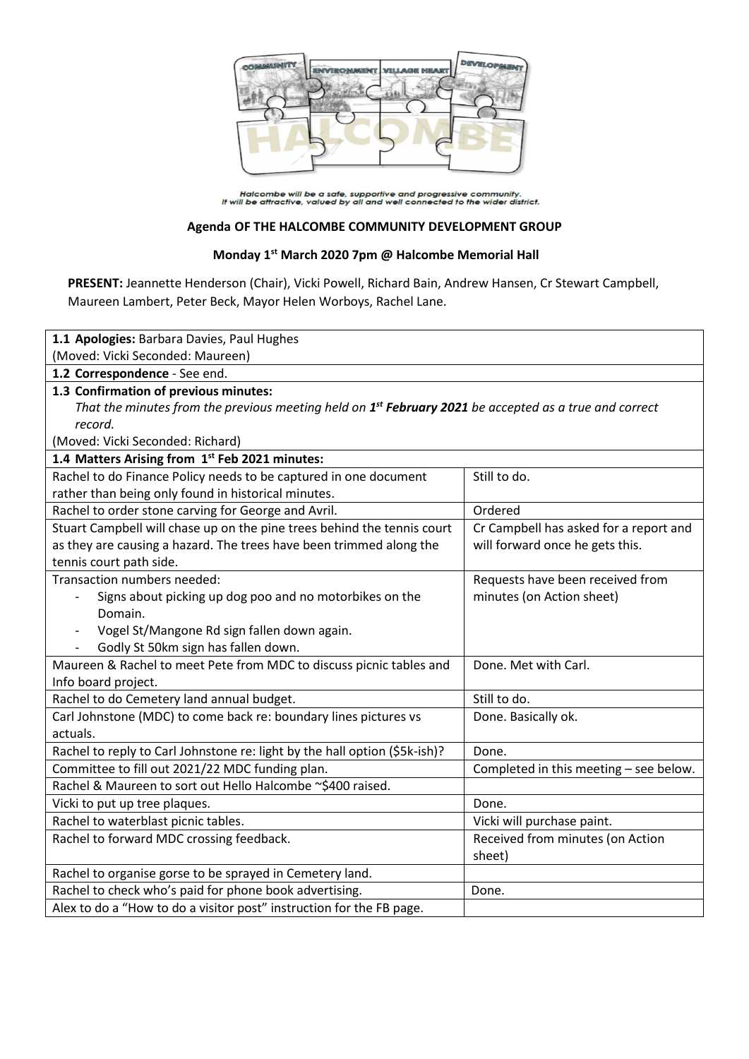

Halcombe will be a safe, supportive and progressive community.<br>It will be attractive, valued by all and well connected to the wider district.

#### **Agenda OF THE HALCOMBE COMMUNITY DEVELOPMENT GROUP**

## **Monday 1st March 2020 7pm @ Halcombe Memorial Hall**

**PRESENT:** Jeannette Henderson (Chair), Vicki Powell, Richard Bain, Andrew Hansen, Cr Stewart Campbell, Maureen Lambert, Peter Beck, Mayor Helen Worboys, Rachel Lane.

| 1.1 Apologies: Barbara Davies, Paul Hughes                                                                         |                                        |  |
|--------------------------------------------------------------------------------------------------------------------|----------------------------------------|--|
| (Moved: Vicki Seconded: Maureen)                                                                                   |                                        |  |
| 1.2 Correspondence - See end.                                                                                      |                                        |  |
| 1.3 Confirmation of previous minutes:                                                                              |                                        |  |
| That the minutes from the previous meeting held on 1 <sup>st</sup> February 2021 be accepted as a true and correct |                                        |  |
| record.                                                                                                            |                                        |  |
| (Moved: Vicki Seconded: Richard)                                                                                   |                                        |  |
| 1.4 Matters Arising from 1st Feb 2021 minutes:                                                                     |                                        |  |
| Rachel to do Finance Policy needs to be captured in one document                                                   | Still to do.                           |  |
| rather than being only found in historical minutes.                                                                |                                        |  |
| Rachel to order stone carving for George and Avril.                                                                | Ordered                                |  |
| Stuart Campbell will chase up on the pine trees behind the tennis court                                            | Cr Campbell has asked for a report and |  |
| as they are causing a hazard. The trees have been trimmed along the                                                | will forward once he gets this.        |  |
| tennis court path side.                                                                                            |                                        |  |
| Transaction numbers needed:                                                                                        | Requests have been received from       |  |
| Signs about picking up dog poo and no motorbikes on the                                                            | minutes (on Action sheet)              |  |
| Domain.                                                                                                            |                                        |  |
| Vogel St/Mangone Rd sign fallen down again.                                                                        |                                        |  |
| Godly St 50km sign has fallen down.                                                                                |                                        |  |
| Maureen & Rachel to meet Pete from MDC to discuss picnic tables and                                                | Done. Met with Carl.                   |  |
| Info board project.                                                                                                |                                        |  |
| Rachel to do Cemetery land annual budget.                                                                          | Still to do.                           |  |
| Carl Johnstone (MDC) to come back re: boundary lines pictures vs                                                   | Done. Basically ok.                    |  |
| actuals.                                                                                                           |                                        |  |
| Rachel to reply to Carl Johnstone re: light by the hall option (\$5k-ish)?                                         | Done.                                  |  |
| Committee to fill out 2021/22 MDC funding plan.                                                                    | Completed in this meeting - see below. |  |
| Rachel & Maureen to sort out Hello Halcombe ~\$400 raised.                                                         |                                        |  |
| Vicki to put up tree plaques.                                                                                      | Done.                                  |  |
| Rachel to waterblast picnic tables.                                                                                | Vicki will purchase paint.             |  |
| Rachel to forward MDC crossing feedback.                                                                           | Received from minutes (on Action       |  |
|                                                                                                                    | sheet)                                 |  |
| Rachel to organise gorse to be sprayed in Cemetery land.                                                           |                                        |  |
| Rachel to check who's paid for phone book advertising.                                                             | Done.                                  |  |
| Alex to do a "How to do a visitor post" instruction for the FB page.                                               |                                        |  |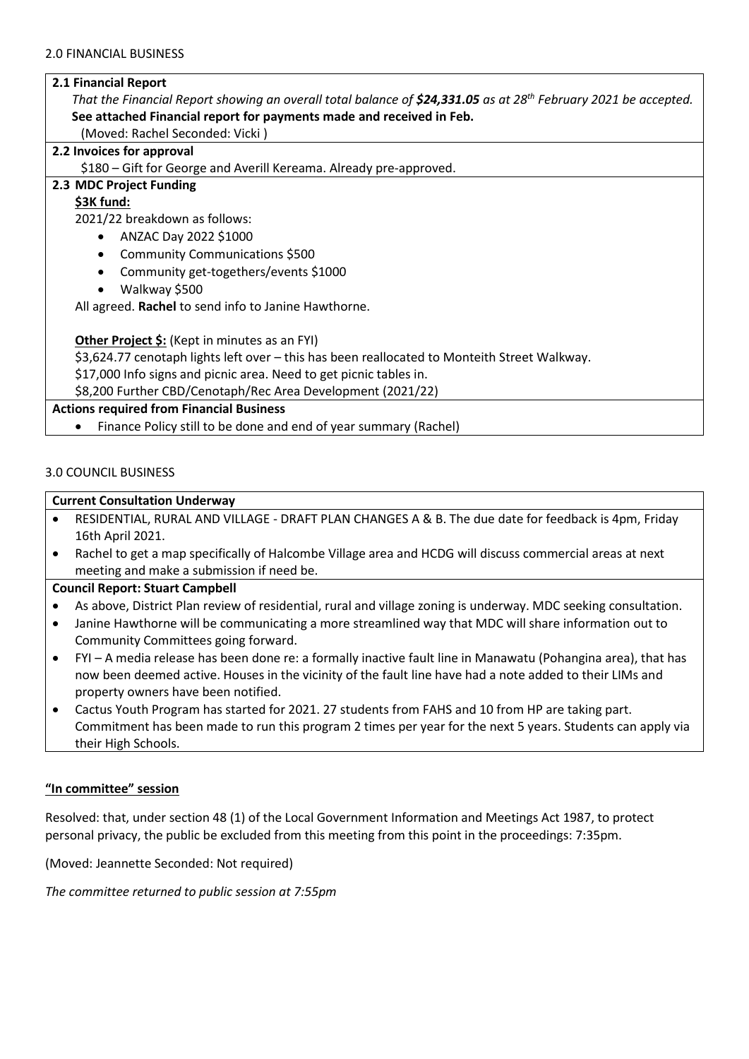#### **2.1 Financial Report**

*That the Financial Report showing an overall total balance of \$24,331.05 as at 28th February 2021 be accepted.* **See attached Financial report for payments made and received in Feb.**

(Moved: Rachel Seconded: Vicki )

## **2.2 Invoices for approval**

\$180 – Gift for George and Averill Kereama. Already pre-approved.

## **2.3 MDC Project Funding**

## **\$3K fund:**

2021/22 breakdown as follows:

- ANZAC Day 2022 \$1000
- Community Communications \$500
- Community get-togethers/events \$1000
- Walkway \$500

All agreed. **Rachel** to send info to Janine Hawthorne.

**Other Project \$:** (Kept in minutes as an FYI)

\$3,624.77 cenotaph lights left over – this has been reallocated to Monteith Street Walkway.

\$17,000 Info signs and picnic area. Need to get picnic tables in.

\$8,200 Further CBD/Cenotaph/Rec Area Development (2021/22)

## **Actions required from Financial Business**

• Finance Policy still to be done and end of year summary (Rachel)

## 3.0 COUNCIL BUSINESS

#### **Current Consultation Underway**

- RESIDENTIAL, RURAL AND VILLAGE DRAFT PLAN CHANGES A & B. The due date for feedback is 4pm, Friday 16th April 2021.
- Rachel to get a map specifically of Halcombe Village area and HCDG will discuss commercial areas at next meeting and make a submission if need be.

#### **Council Report: Stuart Campbell**

- As above, District Plan review of residential, rural and village zoning is underway. MDC seeking consultation.
- Janine Hawthorne will be communicating a more streamlined way that MDC will share information out to Community Committees going forward.
- FYI A media release has been done re: a formally inactive fault line in Manawatu (Pohangina area), that has now been deemed active. Houses in the vicinity of the fault line have had a note added to their LIMs and property owners have been notified.
- Cactus Youth Program has started for 2021. 27 students from FAHS and 10 from HP are taking part. Commitment has been made to run this program 2 times per year for the next 5 years. Students can apply via their High Schools.

#### **"In committee" session**

Resolved: that, under section 48 (1) of the Local Government Information and Meetings Act 1987, to protect personal privacy, the public be excluded from this meeting from this point in the proceedings: 7:35pm.

(Moved: Jeannette Seconded: Not required)

*The committee returned to public session at 7:55pm*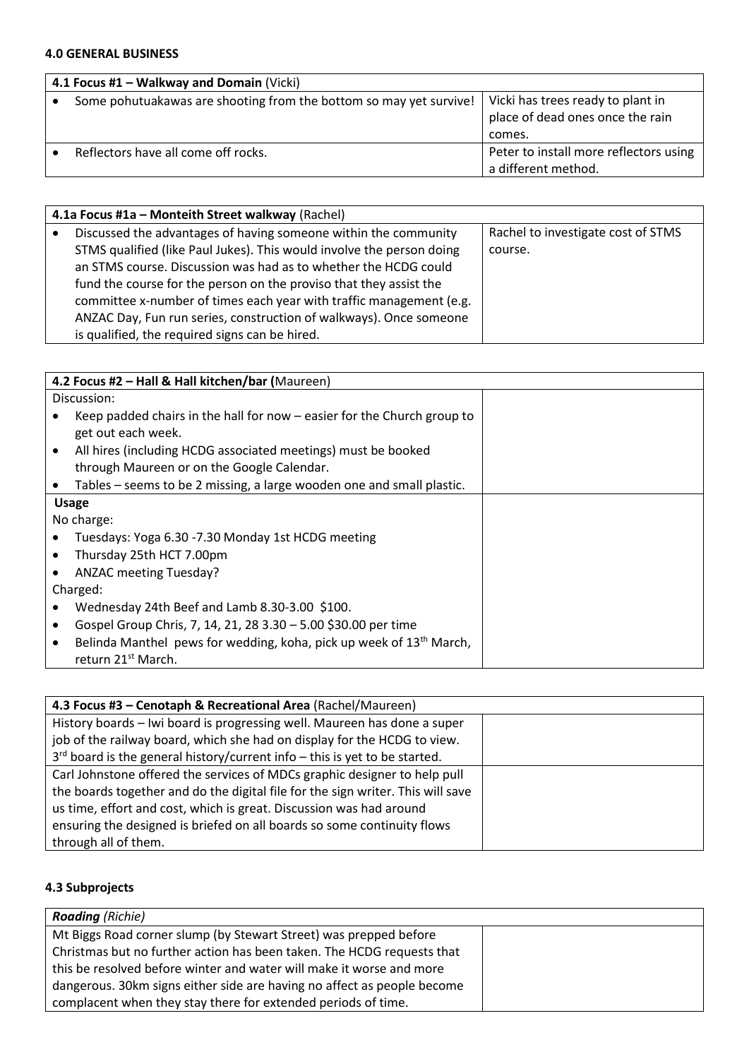## **4.0 GENERAL BUSINESS**

| 4.1 Focus #1 - Walkway and Domain (Vicki)                          |                                        |
|--------------------------------------------------------------------|----------------------------------------|
| Some pohutuakawas are shooting from the bottom so may yet survive! | Vicki has trees ready to plant in      |
|                                                                    | place of dead ones once the rain       |
|                                                                    | comes.                                 |
| Reflectors have all come off rocks.                                | Peter to install more reflectors using |
|                                                                    | a different method.                    |

| 4.1a Focus #1a – Monteith Street walkway (Rachel) |                                                                       |                                    |
|---------------------------------------------------|-----------------------------------------------------------------------|------------------------------------|
|                                                   | Discussed the advantages of having someone within the community       | Rachel to investigate cost of STMS |
|                                                   | STMS qualified (like Paul Jukes). This would involve the person doing | course.                            |
|                                                   | an STMS course. Discussion was had as to whether the HCDG could       |                                    |
|                                                   | fund the course for the person on the proviso that they assist the    |                                    |
|                                                   | committee x-number of times each year with traffic management (e.g.   |                                    |
|                                                   | ANZAC Day, Fun run series, construction of walkways). Once someone    |                                    |
|                                                   | is qualified, the required signs can be hired.                        |                                    |

| 4.2 Focus #2 - Hall & Hall kitchen/bar (Maureen) |                                                                                                                   |  |
|--------------------------------------------------|-------------------------------------------------------------------------------------------------------------------|--|
|                                                  | Discussion:                                                                                                       |  |
|                                                  | Keep padded chairs in the hall for now – easier for the Church group to<br>get out each week.                     |  |
| ٠                                                | All hires (including HCDG associated meetings) must be booked<br>through Maureen or on the Google Calendar.       |  |
|                                                  | Tables – seems to be 2 missing, a large wooden one and small plastic.                                             |  |
|                                                  | <b>Usage</b>                                                                                                      |  |
|                                                  | No charge:                                                                                                        |  |
|                                                  | Tuesdays: Yoga 6.30 -7.30 Monday 1st HCDG meeting                                                                 |  |
|                                                  | Thursday 25th HCT 7.00pm                                                                                          |  |
|                                                  | <b>ANZAC meeting Tuesday?</b>                                                                                     |  |
|                                                  | Charged:                                                                                                          |  |
|                                                  | Wednesday 24th Beef and Lamb 8.30-3.00 \$100.                                                                     |  |
| ٠                                                | Gospel Group Chris, 7, 14, 21, 28 3.30 - 5.00 \$30.00 per time                                                    |  |
| ٠                                                | Belinda Manthel pews for wedding, koha, pick up week of 13 <sup>th</sup> March,<br>return 21 <sup>st</sup> March. |  |

| 4.3 Focus #3 - Cenotaph & Recreational Area (Rachel/Maureen)                    |  |
|---------------------------------------------------------------------------------|--|
| History boards - Iwi board is progressing well. Maureen has done a super        |  |
| job of the railway board, which she had on display for the HCDG to view.        |  |
| $3rd$ board is the general history/current info – this is yet to be started.    |  |
| Carl Johnstone offered the services of MDCs graphic designer to help pull       |  |
| the boards together and do the digital file for the sign writer. This will save |  |
| us time, effort and cost, which is great. Discussion was had around             |  |
| ensuring the designed is briefed on all boards so some continuity flows         |  |
| through all of them.                                                            |  |

## **4.3 Subprojects**

| <b>Roading</b> (Richie)                                                 |  |
|-------------------------------------------------------------------------|--|
| Mt Biggs Road corner slump (by Stewart Street) was prepped before       |  |
| Christmas but no further action has been taken. The HCDG requests that  |  |
| this be resolved before winter and water will make it worse and more    |  |
| dangerous. 30km signs either side are having no affect as people become |  |
| complacent when they stay there for extended periods of time.           |  |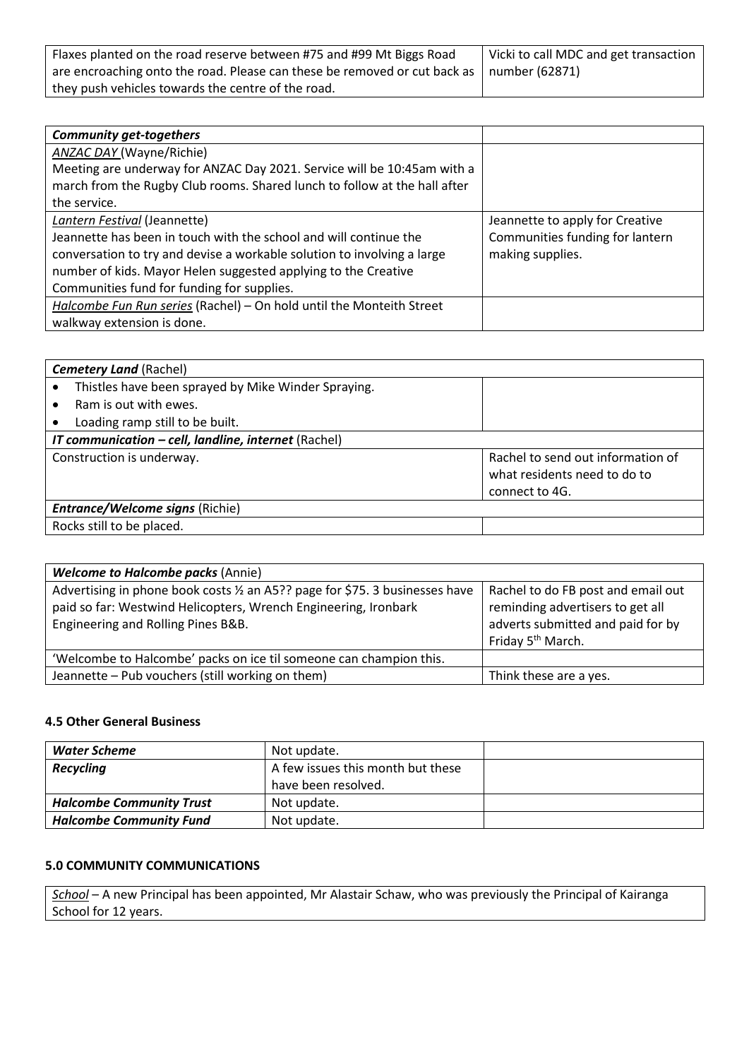| Flaxes planted on the road reserve between #75 and #99 Mt Biggs Road                            | Vicki to call MDC and get transaction |
|-------------------------------------------------------------------------------------------------|---------------------------------------|
| are encroaching onto the road. Please can these be removed or cut back as $\mid$ number (62871) |                                       |
| they push vehicles towards the centre of the road.                                              |                                       |

| <b>Community get-togethers</b>                                            |                                 |
|---------------------------------------------------------------------------|---------------------------------|
| ANZAC DAY (Wayne/Richie)                                                  |                                 |
| Meeting are underway for ANZAC Day 2021. Service will be 10:45am with a   |                                 |
| march from the Rugby Club rooms. Shared lunch to follow at the hall after |                                 |
| the service.                                                              |                                 |
| Lantern Festival (Jeannette)                                              | Jeannette to apply for Creative |
| Jeannette has been in touch with the school and will continue the         | Communities funding for lantern |
| conversation to try and devise a workable solution to involving a large   | making supplies.                |
| number of kids. Mayor Helen suggested applying to the Creative            |                                 |
| Communities fund for funding for supplies.                                |                                 |
| Halcombe Fun Run series (Rachel) - On hold until the Monteith Street      |                                 |
| walkway extension is done.                                                |                                 |

| <b>Cemetery Land (Rachel)</b>                        |                                                                                     |  |
|------------------------------------------------------|-------------------------------------------------------------------------------------|--|
| Thistles have been sprayed by Mike Winder Spraying.  |                                                                                     |  |
| Ram is out with ewes.                                |                                                                                     |  |
| Loading ramp still to be built.                      |                                                                                     |  |
| IT communication - cell, landline, internet (Rachel) |                                                                                     |  |
| Construction is underway.                            | Rachel to send out information of<br>what residents need to do to<br>connect to 4G. |  |
| <b>Entrance/Welcome signs (Richie)</b>               |                                                                                     |  |
| Rocks still to be placed.                            |                                                                                     |  |

| <b>Welcome to Halcombe packs (Annie)</b>                                                                                                                                              |                                                                                                                                              |
|---------------------------------------------------------------------------------------------------------------------------------------------------------------------------------------|----------------------------------------------------------------------------------------------------------------------------------------------|
| Advertising in phone book costs 1/2 an A5?? page for \$75. 3 businesses have<br>paid so far: Westwind Helicopters, Wrench Engineering, Ironbark<br>Engineering and Rolling Pines B&B. | Rachel to do FB post and email out<br>reminding advertisers to get all<br>adverts submitted and paid for by<br>Friday 5 <sup>th</sup> March. |
| 'Welcombe to Halcombe' packs on ice til someone can champion this.                                                                                                                    |                                                                                                                                              |
| Jeannette - Pub vouchers (still working on them)                                                                                                                                      | Think these are a yes.                                                                                                                       |

## **4.5 Other General Business**

| Water Scheme                    | Not update.                       |  |
|---------------------------------|-----------------------------------|--|
| <b>Recycling</b>                | A few issues this month but these |  |
|                                 | have been resolved.               |  |
| <b>Halcombe Community Trust</b> | Not update.                       |  |
| <b>Halcombe Community Fund</b>  | Not update.                       |  |

## **5.0 COMMUNITY COMMUNICATIONS**

*School* – A new Principal has been appointed, Mr Alastair Schaw, who was previously the Principal of Kairanga School for 12 years.